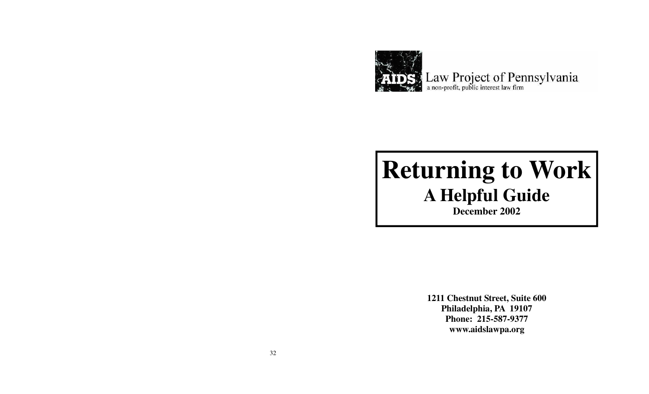

# **Returning to Work A Helpful Guide**

**December 2002**

**1211 Chestnut Street, Suite 600 Philadelphia, PA 19107 Phone: 215-587-9377 www.aidslawpa.org**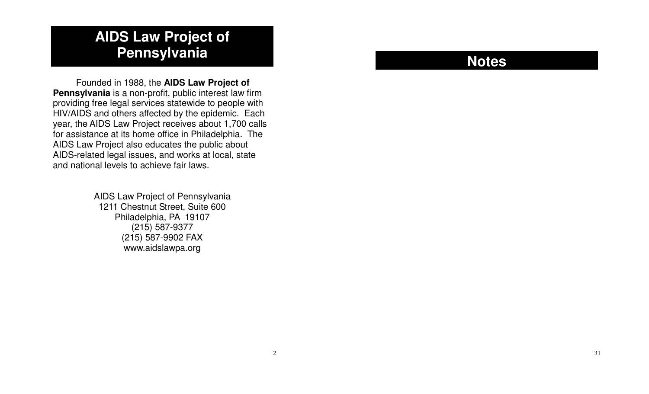# **AIDS Law Project of Pennsylvania**

Founded in 1988, the **AIDS Law Project of Pennsylvania** is <sup>a</sup> non-profit, public interest law firm providing free legal services statewide to people with HIV/AIDS and others affected by the epidemic. Each year, the AIDS Law Project receives about 1,700 calls for assistance at its home office in Philadelphia. The AIDS Law Project also educates the public about AIDS-related legal issues, and works at local, state and national levels to achieve fair laws.

> AIDS Law Project of Pennsylvania 1211 Chestnut Street, Suite 600 Philadelphia, PA 19107 (215) 587-9377 (215) 587-9902 FAX www.aidslawpa.org

# **Notes**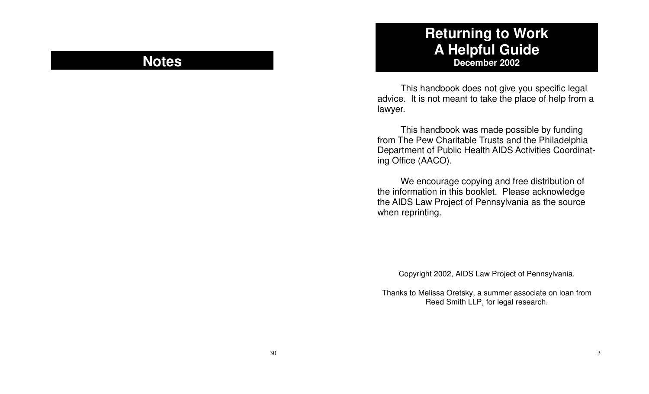## **Notes**

### **Returning to Work A H elp f ul G uid e December 2002**

This handbook does not give you specific legal advice. It is not meant to take the place of help from a la w y er.

This handbook was made possible by funding from The Pew Charitable Trusts and the Philadelphia Department of Public Health AIDS Activities Coordinating Office (AACO).

We encourage copying and free distribution of the information in this booklet. Please acknowledge the AIDS Law Project of Pennsylvania as the source when reprinting.

Copyright 2002, AIDS Law Project of Pennsylvania.

Thanks to Melissa Oretsky, a summer associate on loan from Reed Smith LLP, for legal research.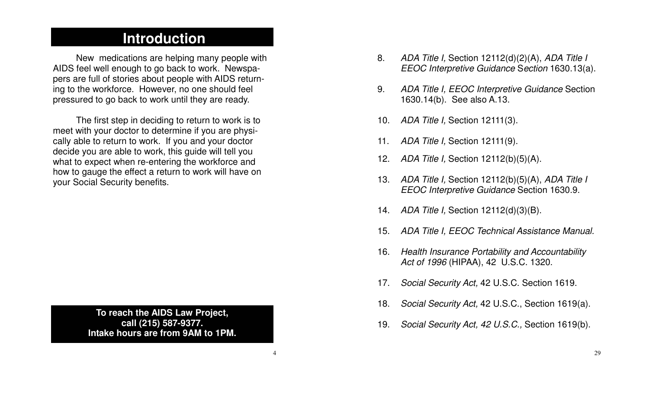### **Introduction**

New medications are helping many people with AIDS feel well enough to go back to work. Newspapers are full of stories about people with AIDS returning to the workforce. However, no one should feel pressured to go back to work until they are ready.

The first step in deciding to return to work is to meet with your doctor to determine if you are physically able to return to work. If you and your doctor decide you are able to work, this guide will tell you what to expect when re-entering the workforce and how to gauge the effect <sup>a</sup> return to work will have on your Social Security benefits.

> **To reach the AIDS Law Project, call (215) 587-9377. Intake hours are from 9AM to 1PM.**

- 8. *ADA Title I,* Section 12112(d)(2)(A), *ADA Title I EEOC Interpretive Guidance* S*ection* 1630.13(a).
- 9. *ADA Title I, EEOC Interpretive Guidance* Section 1630.14(b). See also A.13.
- 10. *ADA Title I,* Section 12111(3).
- 11. *ADA Title I,* Section 12111(9).
- 12. *ADA Title I,* Section 12112(b)(5)(A).
- 13. *ADA Title I,* Section 12112(b)(5)(A), *ADA Title I EEOC Interpretive Guidance* Section 1630.9.
- 14. *ADA Title I,* Section 12112(d)(3)(B).
- 15. *ADA Title I, EEOC Technical Assistance Manual.*
- 16. *Health Insurance Portability and Accountability Act of 1996* (HIPAA), 42 U.S.C. 1320.
- 17.*Social Security Act,* 42 U.S.C. Section 1619.
- 18. *Social Security Act,* 42 U.S.C., Section 1619(a).
- 19. *Social Security Act, 42 U.S.C.,* Section 1619(b).

4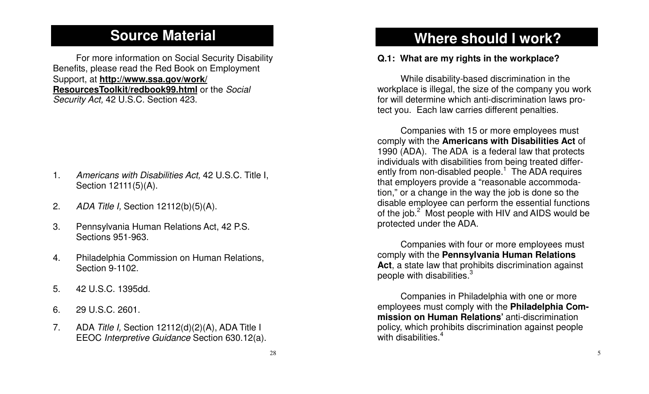### **Source Material**

For more information on Social Security Disability Benefits, please read the Red Book on Employment Support, at **http://www.ssa.gov/work/ ResourcesToolkit/redbook99.html** or the *Social Security Act,* 42 U.S.C. Section 423.

- 1. *Americans with Disabilities Act,* 42 U.S.C. Title I, Section 12111(5)(A).
- 2.*ADA Title I,* Section 12112(b)(5)(A).
- 3. Pennsylvania Human Relations Act, 42 P.S. Sections 951-963.
- 4. Philadelphia Commission on Human Relations, Section 9-1102.
- 5. 42 U.S.C. 1395dd.
- 6. 29 U.S.C. 2601.
- 7. ADA *Title I,* Section 12112(d)(2)(A), ADA Title I EEOC *Interpretive Guidance* Section 630.12(a).

# **Where should I work?**

### **Q.1: What are my rights in the workplace?**

While disability-based discrimination in the workplace is illegal, the size of the company you work for will determine which anti-discrimination laws protect you. Each law carries different penalties.

Companies with 15 or more employees must comply with the **Americans with Disabilities Act** of 1990 (ADA). The ADA is <sup>a</sup> federal law that protects individuals with disabilities from being treated differently from non-disabled people.<sup>1</sup> The ADA requires that employers provide <sup>a</sup> "reasonable accommodation," or <sup>a</sup> change in the way the job is done so the disable employee can perform the essential functions of the job. $2$  Most people with HIV and AIDS would be protected under the ADA.

Companies with four or more employees must comply with the **Pennsylvania Human Relations Act**, <sup>a</sup> state law that prohibits discrimination against people with disabilities.<sup>3</sup>

Companies in Philadelphia with one or more employees must comply with the **Philadelphia Commission on Human Relations'** anti-discrimination policy, which prohibits discrimination against people with disabilities.<sup>4</sup>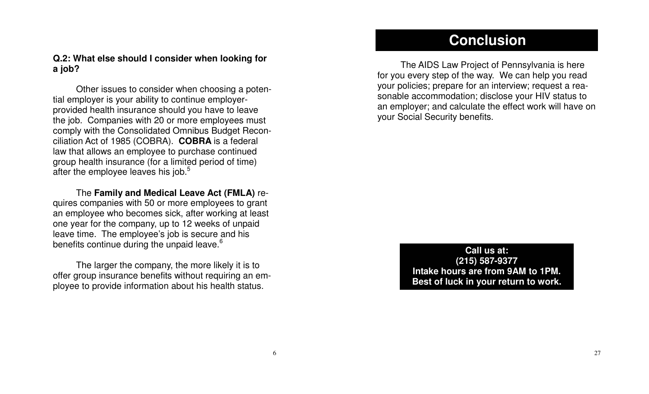### **Conclusion**

The AIDS Law Project of Pennsylvania is here for you every step of the way. We can help you read your policies; prepare for an interview; request <sup>a</sup> reasonable accommodation; disclose your HIV status to an employer; and calculate the effect work will have on your Social Security benefits.

> **Call us at: (215) 587-9377 Intake hours are from 9AM to 1PM. Best of luck in your return to work.**

### **Q.2: What else should I consider when looking for a job?**

Other issues to consider when choosing <sup>a</sup> potential employer is your ability to continue employerprovided health insurance should you have to leave the job. Companies with 20 or more employees must comply with the Consolidated Omnibus Budget Reconciliation Act of 1985 (COBRA). **COBRA** is <sup>a</sup> federal law that allows an employee to purchase continued group health insurance (for <sup>a</sup> limited period of time) after the employee leaves his job.<sup>5</sup>

The **Family and Medical Leave Act (FMLA)** requires companies with 50 or more employees to grant an employee who becomes sick, after working at least one year for the company, up to 12 weeks of unpaid leave time. The employee's job is secure and his benefits continue during the unpaid leave.<sup>6</sup>

The larger the company, the more likely it is to offer group insurance benefits without requiring an employee to provide information about his health status.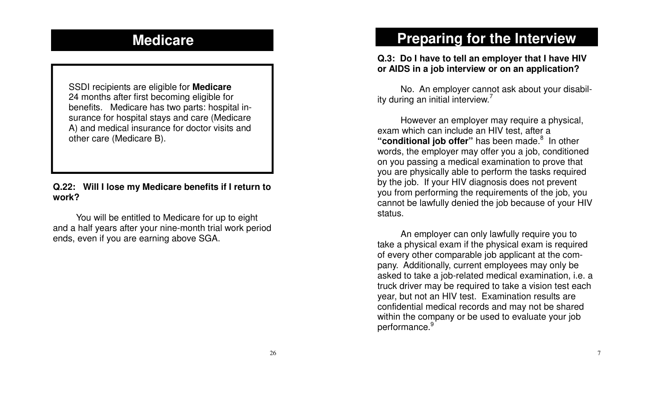### **Medicare**

SSDI recipients are eligible for **Medicare** 24 months after first becoming eligible for benefits. Medicare has two parts: hospital insurance for hospital stays and care (Medicare A) and medical insurance for doctor visits and other care (Medicare B).

#### **Q.22: Will I lose my Medicare benefits if I return to work?**

You will be entitled to Medicare for up to eight and <sup>a</sup> half years after your nine-month trial work period ends, even if you are earning above SGA.

# **Preparing for the Interview**

### **Q.3: Do I have to tell an employer that I have HIV or AIDS in <sup>a</sup> job interview or on an application?**

No. An employer cannot ask about your disability during an initial interview.<sup>7</sup>

However an employer may require <sup>a</sup> physical, exam which can include an HIV test, after <sup>a</sup> "**conditional iob offer**" has been made.<sup>8</sup> In other words, the employer may offer you <sup>a</sup> job, conditioned on you passing <sup>a</sup> medical examination to prove that you are physically able to perform the tasks required by the job. If your HIV diagnosis does not prevent you from performing the requirements of the job, you cannot be lawfully denied the job because of your HIV status.

An employer can only lawfully require you to take <sup>a</sup> physical exam if the physical exam is required of every other comparable job applicant at the company. Additionally, current employees may only be asked to take <sup>a</sup> job-related medical examination, i.e. <sup>a</sup> truck driver may be required to take <sup>a</sup> vision test each year, but not an HIV test. Examination results are confidential medical records and may not be shared within the company or be used to evaluate your job performance.<sup>9</sup>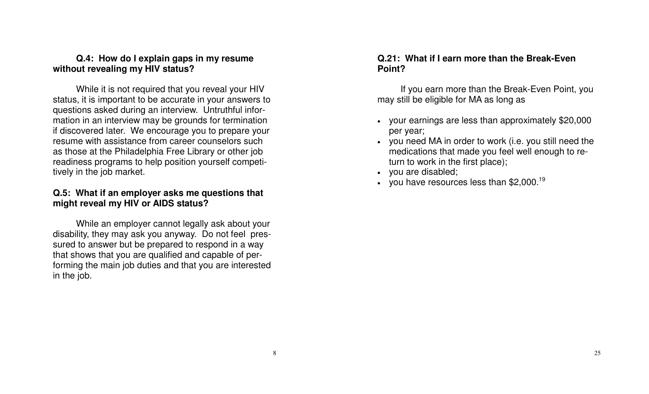### **Q.4: How do I explain gaps in my resume without revealing my HIV status?**

While it is not required that you reveal your HIV status, it is important to be accurate in your answers to questions asked during an interview. Untruthful information in an interview may be grounds for termination if discovered later. We encourage you to prepare your resume with assistance from career counselors such as those at the Philadelphia Free Library or other job readiness programs to help position yourself competitively in the job market.

### **Q.5: What if an employer asks me questions that might reveal my HIV or AIDS status?**

While an employer cannot legally ask about your disability, they may ask you anyway. Do not feel pressured to answer but be prepared to respond in <sup>a</sup> way that shows that you are qualified and capable of performing the main job duties and that you are interested in the job.

### **Q.21: What if I earn more than the Break-Even Point?**

If you earn more than the Break-Even Point, you may still be eligible for MA as long as

- x your earnings are less than approximately \$20,000 per year;
- you need MA in order to work (i.e. you still need the medications that made you feel well enough to return to work in the first place);
- you are disabled;
- you have resources less than  $$2,000$ .<sup>19</sup>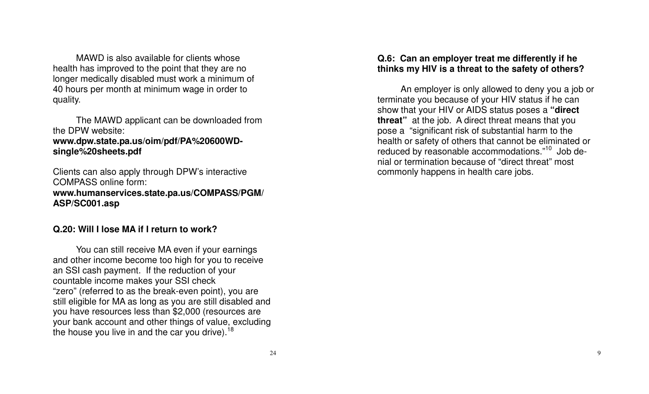MAWD is also available for clients whose health has improved to the point that they are no longer medically disabled must work a minimum of 4 0 h o urs p er m o nth at minim u m w a g e in ord er to q u ality.

The MAWD applicant can be downloaded from the DPW website:

**w w w.d p w.state.p a.u s/oim/p df/PA % 2 0 6 0 0 W Dsingle %20sheets.p df**

Clients can also apply through DPW's interactive COMPASS online form: **w w w.h u m a n s ervic e s.state.p a.u s/C O M PA S S/P G M/ A S P/S C 0 01.a s p**

### **Q.2 0: Will I loseMA if I return to work?**

You can still receive MA even if your earnings and other income become too high for you to receive an SSI cash payment. If the reduction of your countable income makes your SSI check "zero" (referre d to as thebreak-evenp oint), y ouarestill eligible for MA as long as you are still disabled and you have resources less than \$2,000 (resources are your bank account and other things of value, excluding the house you live in and the car you drive).<sup>18</sup>

### **Q.6: C a n a n e m plo y er tre at m e differe ntly if h e thin k s my HIV is a thre at to th e s afety of oth ers ?**

An employer is only allowed to deny you a job or terminate you because of your HIV status if he can show that your HIV or AIDS status poses a **" dire ct threat"** at the job. A direct threat means that you pose a "significant risk of substantial harm to the health or safety of others that cannot be eliminated or reduced by reasonable accommodations."<sup>10</sup> Job denial or termination because of "direct threat" most c o mmo nly h a p p e n s in h e alth c are jo b s.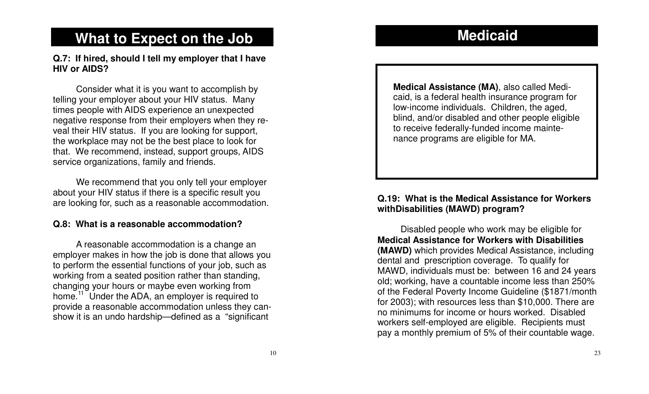### **M e dic aid**

# What to Expect on the Job

Q.7: If hired, should I tell my employer that I have **HIVor AIDS?**

Consider what it is you want to accomplish by telling your employer about your HIV status. Many times people with AIDS experience an unexpected negative response from their employers when they reveal their HIV status. If you are looking for support, the workplace may not be the best place to look for that. We recommend, instead, support groups, AIDS service organizations, family and friends.

We recommend that you only tell your employer about your HIV status if there is a specific result you are looking for, such as a reasonable accommodation.

#### **Q.8: What isa re asonableaccommodation?**

A reasonable accommodation is a change an employer makes in how the job is done that allows you to perform the essential functions of your job, such as working from a seated position rather than standing, changing your hours or maybe even working from home.<sup>11</sup> Under the ADA, an employer is required to provide a reasonable accommodation unless they canshow it is an undo hardship—defined as a "significant

**Medical Assistance (MA)**, also called Medicaid, is a federal health insurance program for low-income individuals. Children, the aged, blind, and/or disabled and other people eligible to receive federally-funded income maintenance programs are eligible for MA.

### **Q.19: What is theMedical Assistance for Workerswith Dis a bilitie s (M AW D) pro gra m ?**

Disabled people who work may be eligible for **Medical Assistance for WorkerswithDisabilities(MAWD)** which provides Medical Assistance, including d e ntal a n d pre s criptio n c o v era g e. To q u alify for MAWD, individuals must be: between 16 and 24 years old; working, have a countable income less than 250% of the Federal Poverty Income Guideline (\$1871/month for 2003); with resources less than \$10,000. There are no minimums for income or hours worked. Disabled workers self-employed are eligible. Recipients must pay a monthly premium of 5% of their countable wage.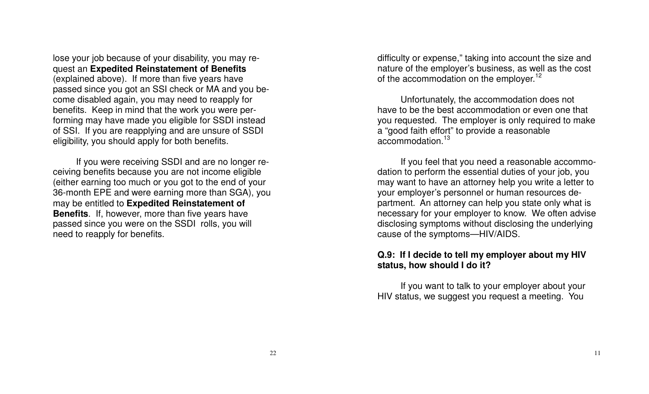lose your job because of your disability, you may request an **Expedited Reinstatement of Benefits** (explained above). If more than five years have passed since you got an SSI check or MA and you become disabled again, you may need to reapply for benefits. Keep in mind that the work you were performing may have made you eligible for SSDI instead of SSI. If you are reapplying and are unsure of SSDI eligibility, you should apply for both benefits.

If you were receiving SSDI and are no longer receiving benefits because you are not income eligible (either earning too much or you got to the end of your 36-month EPE and were earning more than SGA), you may be entitled to **Expedited Reinstatement of Benefits**. If, however, more than five years have passed since you were on the SSDI rolls, you will need to reapply for benefits.

difficulty or expense," taking into account the size and nature of the employer's business, as well as the cost of the accommodation on the employer.<sup>12</sup>

Unfortunately, the accommodation does not have to be the best accommodation or even one that you requested. The employer is only required to make a "good faith effort" to provide <sup>a</sup> reasonable accommodation.<sup>13</sup>

If you feel that you need <sup>a</sup> reasonable accommodation to perform the essential duties of your job, you may want to have an attorney help you write <sup>a</sup> letter to your employer's personnel or human resources department. An attorney can help you state only what is necessary for your employer to know. We often advise disclosing symptoms without disclosing the underlying cause of the symptoms—HIV/AIDS.

### **Q.9: If I decide to tell my employer about my HIV status, how should I do it?**

If you want to talk to your employer about your HIV status, we suggest you request <sup>a</sup> meeting. You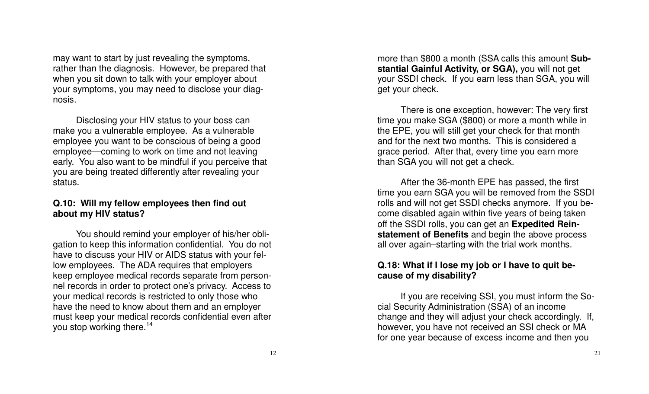may want to start by just revealing the symptoms, rather than the diagnosis. However, be prepared that when you sit down to talk with your employer about your symptoms, you may need to disclose your diagnosis.

Disclosing your HIV status to your boss can make you a vulnerable employee. As a vulnerable employee you want to be conscious of being a good employee—coming to work on time and not leaving early. You also want to be mindful if you perceive that you are being treated differently after revealing your status.

#### Q.10: Will my fellow employees then find out **a bout my HIVstatus ?**

You should remind your employer of his/her obligation to keep this information confidential. You do not have to discuss your HIV or AIDS status with your fellow employees. The ADA requires that employers keep emplo y eemedical recordssep arate fro mp ersonnel records in order to protect one's privacy. Access to your medical records is restricted to only those who have the need to know about them and an employer must keep your medical records confidential even after you stop working there.<sup>14</sup>

more than \$800 a month (SSA calls this amount Sub**sta ntial Gainful Activity, or S GA),** y o u will n ot g et your SSDI check. If you earn less than SGA, you will g et y our check.

There is one exception, however: The very first time you make SGA (\$800) or more a month while in the EPE, you will still get your check for that month and for the next two months. This is considered a grace period. After that, every time you earn more than SGA you will not get a check.

After the 36-month EPE has passed, the first time you earn SGA you will be removed from the SSDI rolls and will not get SSDI checks anymore. If you become disabled again within five years of being taken off the SSDI rolls, you can get an Expedited Rein**statement of Benefits** and begin the above process all over again–starting with the trial work months.

### Q.18: What if I lose my job or I have to quit be**c a u s e of my dis a bility ?**

If you are receiving SSI, you must inform the Social Security Administration (SSA) of an income change and they will adjust your check accordingly. If, however, you have not received an SSI check or MA for one year because of excess income and then you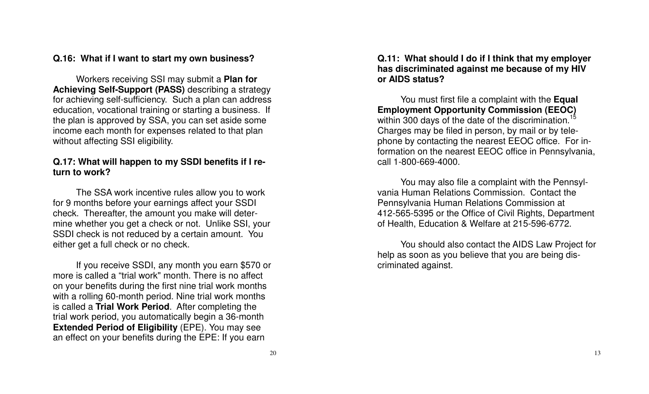### Q.16: What if I want to start my own business?

Workers receiving SSI may submit a **Plan for Achieving Self-Support (PASS)** describing a strategy for achieving self-sufficiency. Such a plan can address education, vocational training or starting a business. If the plan is approved by SSA, you can set aside some income each month for expenses related to that plan with o ut affe ctin g S SI eligibility.

### Q.17: What will happen to my SSDI benefits if I re**turn to work?**

The SSA work incentive rules allow you to work for 9 months before your earnings affect your SSDI check. Thereafter, the amount you make will determine whether you get a check or not. Unlike SSI, your SSDI check is not reduced by a certain amount. You either get a full check or no check.

If you receive SSDI, any month you earn \$570 or more is called a "trial work" month. There is no affect on your benefits during the first nine trial work months with a rolling 60-month period. Nine trial work months is called a **Trial Work Period**. After completing the trial work period, you automatically begin a 36-month **Extended Period of Eligibility** (EPE). You may see an effect on your benefits during the EPE: If you earn

Q.11: What should I do if I think that my employer has discriminated against me because of my HIV **or AIDSstatus?**

You must first file a complaint with the Equal **Employment Opportunity Commission (EEOC)** within 300 days of the date of the discrimination.<sup>15</sup> Charges may be filed in person, by mail or by telephone by contacting the nearest EEOC office. For information on the nearest EEOC office in Pennsylvania, call 1-800-669-4000.

You may also file a complaint with the Pennsylvania Human Relations Commission. Contact the Pennsylvania Human Relations Commission at 412-565-5395 or the Office of Civil Rights, Department of Health, Education & Welfare at 215-596-6772.

You should also contact the AIDS Law Project for help as soon as you believe that you are being discrimin ate d a g ain st.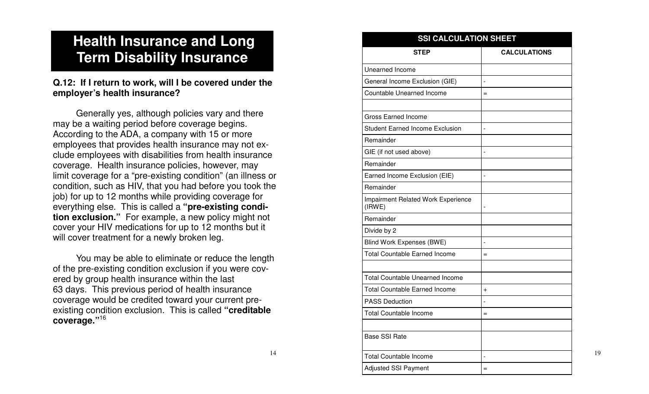# **Health Insurance and Long** Term Disability Insurance

### Q.12: If I return to work, will I be covered under the **emplo y er'shealth in surance?**

Generally yes, although policies vary and there may be a waiting period before coverage begins. According to the ADA, a company with 15 or more employees that provides health insurance may not exclude employees with disabilities from health insurance coverage. Health insurance policies, however, may limit coverag e for <sup>a</sup> "pre-e xisting condition" (a n illn essor condition, such as HIV, that you had before you took the job) for up to 12 months while providing coverage for ev erythin g els e. This is c alleda**" pre-e xisting condition exclusion."** For example, a new policy might not c o v er y o ur HIV m e dic atio n s for u p to 12 m o nth s b ut it will cover treatment for a newly broken leg.

You may be able to eliminate or reduce the length of the pre-existing condition exclusion if you were covered by group health insurance within the last 63 days. This previous period of health insurance coverage would be credited toward your current preexisting conditionexclusion. This is called**"creditablec o v era g e."**<sup>16</sup>

#### **STEPCALCULATIONS**Unearned Inco meGeneral Income Exclusion (GIE)  $\qquad \qquad \vert \, \cdot$ Countable Unearned Income =Gross Earned Inco meStudent Earned Income Exclusion [ -RemainderGIE (if not use dabove) - RemainderEarned Income Exclusion (EIE) [-RemainderIm p airm ent R elate d W ork E x p erience (IR WE) - RemainderDivid e b y 2 Blind Work Ex p enses (B WE) - Total Countable Earned Income =Total Countable Unearned Income Total Countable Earned Income +PASS Deduction - Total Countable Inco me=Base SSI Rate Total Countable Inco me<del>-</del> Adjusted SSI Payment <sup>=</sup>**SSI CALCULATIONSHEET**

19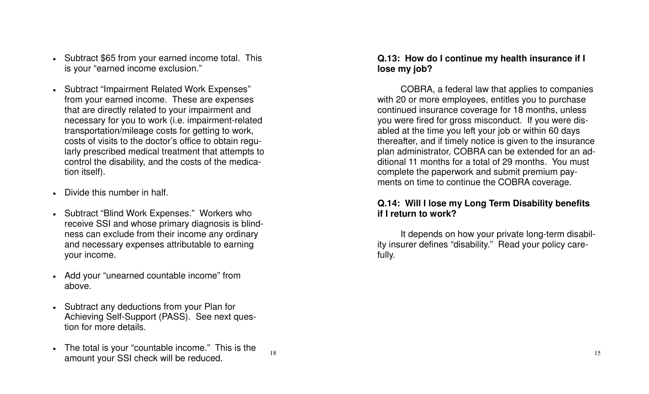- Subtract \$65 from your earned income total. This is your "earned income exclusion."
- $\bullet$ • Subtract "Impairment Related Work Expenses" from your earned income. These are expenses that are directly related to your impairment and necessary for you to work (i.e. impairment-related tra n s p ortatio n/mile a g e c o sts for g ettin g to work, costs of visits to the doctor's office to obtain regularly prescribed medical treatment that attempts to control the disability, and the costs of the medicatio n its elf).
- Divide this number in half.
- Subtract "Blind Work Expenses." Workers who receive SSI and whose primary diagnosis is blindness can exclude from their income any ordinary and necessary expenses attributable to earning y our income.
- Add your "unearned countable income" from above.
- Subtract any deductions from your Plan for Achieving Self-Support (PASS). See next question for more details.
- The total is your "countable income." This is the amount your SSI check will be reduce d.  $15$

18

### Q.13: How do I continue my health insurance if I **lo s e my jo b ?**

COBRA, a federal law that applies to companies with 20 or more employees, entitles you to purchase continued insurance coverage for 18 months, unless you were fired for gross misconduct. If you were disabled at the time you left your job or within 60 days thereafter, and if timely notice is given to the insurance plan administrator, COBRA can be extended for an additional 11 months for a total of 2 9months. Youmust complete the paperwork and submit premium payments on time to continue the COBRA coverage.

### Q.14: Will I lose my Long Term Disability benefits **if I return to work?**

It depends on how your private long-term disability insurer defines "disability." Read your policy carefully.